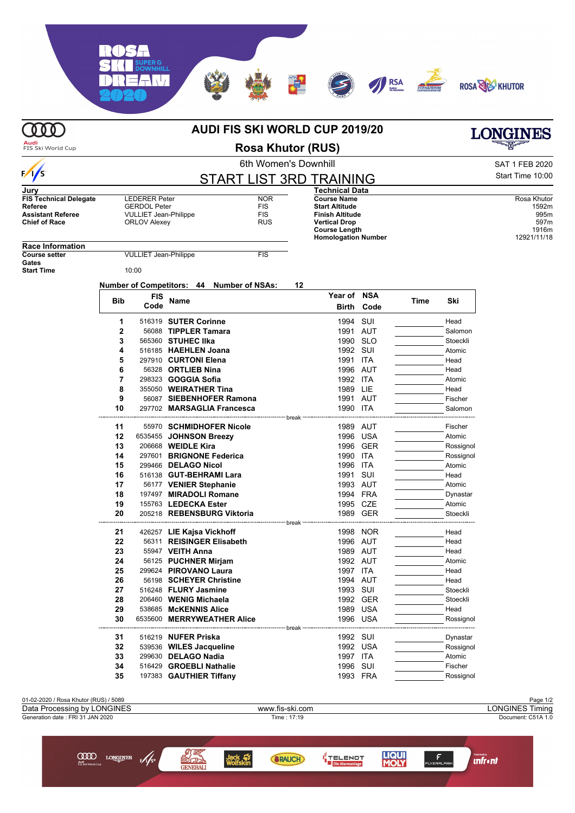**Audi**<br>FIS Ski World Cup

|                                       |                                                        | SAT 1 FEB 2020                                            |                                           |                        |                            |                    |      |           |                  |
|---------------------------------------|--------------------------------------------------------|-----------------------------------------------------------|-------------------------------------------|------------------------|----------------------------|--------------------|------|-----------|------------------|
| $\frac{1}{s}$                         | 6th Women's Downhill<br><b>START LIST 3RD TRAINING</b> |                                                           |                                           |                        |                            |                    |      |           |                  |
|                                       |                                                        |                                                           |                                           |                        |                            |                    |      |           | Start Time 10:00 |
| Jurv<br><b>FIS Technical Delegate</b> |                                                        |                                                           |                                           |                        | <b>Technical Data</b>      |                    |      |           | Rosa Khutor      |
| Referee                               |                                                        | <b>NOR</b><br><b>LEDERER Peter</b><br><b>GERDOL Peter</b> |                                           | <b>FIS</b>             | <b>Start Altitude</b>      | <b>Course Name</b> |      |           | 1592m            |
| <b>Assistant Referee</b>              |                                                        | <b>VULLIET Jean-Philippe</b><br>FIS                       |                                           | <b>Finish Altitude</b> |                            |                    |      | 995m      |                  |
| <b>Chief of Race</b>                  | <b>RUS</b><br><b>ORLOV Alexey</b>                      |                                                           |                                           | <b>Vertical Drop</b>   |                            |                    |      | 597m      |                  |
|                                       |                                                        |                                                           |                                           |                        | <b>Course Length</b>       |                    |      |           | 1916m            |
| <b>Race Information</b>               |                                                        |                                                           |                                           |                        | <b>Homologation Number</b> |                    |      |           | 12921/11/18      |
| <b>Course setter</b>                  |                                                        | <b>VULLIET Jean-Philippe</b>                              |                                           | <b>FIS</b>             |                            |                    |      |           |                  |
| Gates                                 |                                                        |                                                           |                                           |                        |                            |                    |      |           |                  |
| <b>Start Time</b>                     |                                                        | 10:00                                                     |                                           |                        |                            |                    |      |           |                  |
|                                       |                                                        |                                                           | Number of Competitors: 44 Number of NSAs: |                        | 12                         |                    |      |           |                  |
|                                       |                                                        | <b>FIS</b>                                                |                                           |                        | Year of NSA                |                    |      |           |                  |
|                                       | Bib                                                    | Code                                                      | Name                                      |                        | Birth                      | Code               | Time | Ski       |                  |
|                                       | 1                                                      |                                                           | 516319 SUTER Corinne                      |                        | 1994 SUI                   |                    |      | Head      |                  |
|                                       | $\mathbf{2}$                                           |                                                           | 56088 TIPPLER Tamara                      |                        | 1991                       | AUT                |      | Salomon   |                  |
|                                       | 3                                                      |                                                           | 565360 STUHEC IIka                        |                        |                            | 1990 SLO           |      | Stoeckli  |                  |
|                                       | 4                                                      |                                                           | 516185 HAEHLEN Joana                      |                        | 1992 SUI                   |                    |      | Atomic    |                  |
|                                       | 5                                                      |                                                           | 297910 CURTONI Elena                      |                        | 1991                       | ITA                |      | Head      |                  |
|                                       | 6                                                      |                                                           | 56328 ORTLIEB Nina                        |                        |                            | 1996 AUT           |      | Head      |                  |
|                                       | 7                                                      |                                                           | 298323 GOGGIA Sofia                       |                        | 1992 ITA                   |                    |      | Atomic    |                  |
|                                       | 8                                                      |                                                           | 355050 WEIRATHER Tina                     |                        | 1989 LIE                   |                    |      | Head      |                  |
|                                       | 9                                                      |                                                           | 56087 SIEBENHOFER Ramona                  |                        |                            | 1991 AUT           |      | Fischer   |                  |
|                                       | 10                                                     |                                                           | 297702 MARSAGLIA Francesca                |                        | 1990 ITA                   |                    |      | Salomon   |                  |
|                                       |                                                        |                                                           |                                           | break                  |                            |                    |      |           |                  |
|                                       | 11                                                     |                                                           | 55970 SCHMIDHOFER Nicole                  |                        |                            | 1989 AUT           |      | Fischer   |                  |
|                                       | 12                                                     |                                                           | 6535455 JOHNSON Breezy                    |                        |                            | 1996 USA           |      | Atomic    |                  |
|                                       | 13                                                     |                                                           | 206668 WEIDLE Kira                        |                        |                            | 1996 GER           |      | Rossignol |                  |
|                                       | 14                                                     |                                                           | 297601 BRIGNONE Federica                  |                        | 1990                       | ITA                |      | Rossignol |                  |
|                                       | 15                                                     |                                                           | 299466 DELAGO Nicol                       |                        | 1996 ITA                   |                    |      | Atomic    |                  |
|                                       | 16                                                     |                                                           | 516138 GUT-BEHRAMI Lara                   |                        | 1991                       | SUI                |      | Head      |                  |
|                                       | 17                                                     |                                                           | 56177 VENIER Stephanie                    |                        |                            | 1993 AUT           |      | Atomic    |                  |
|                                       | 18                                                     |                                                           | 197497 MIRADOLI Romane                    |                        |                            | 1994 FRA           |      | Dynastar  |                  |
|                                       | 19                                                     |                                                           | 155763 LEDECKA Ester                      |                        |                            | 1995 CZE           |      | Atomic    |                  |
|                                       | 20                                                     |                                                           | 205218 REBENSBURG Viktoria                |                        |                            | 1989 GER           |      | Stoeckli  |                  |
|                                       |                                                        |                                                           |                                           |                        |                            |                    |      |           |                  |
|                                       | 21                                                     |                                                           | 426257 LIE Kajsa Vickhoff                 |                        |                            | 1998 NOR           |      | Head      |                  |
|                                       | 22                                                     |                                                           | 56311 REISINGER Elisabeth                 |                        |                            | 1996 AUT           |      | Head      |                  |
|                                       | 23                                                     |                                                           | 55947 VEITH Anna                          |                        |                            | 1989 AUT           |      | Head      |                  |
|                                       | 24                                                     |                                                           | 56125 PUCHNER Mirjam                      |                        |                            | 1992 AUT           |      | Atomic    |                  |
|                                       | 25                                                     |                                                           | 299624 PIROVANO Laura                     |                        | 1997 ITA                   |                    |      | Head      |                  |
|                                       | 26                                                     |                                                           | 56198 SCHEYER Christine                   |                        |                            | 1994 AUT           |      | Head      |                  |
|                                       | 27                                                     |                                                           | 516248 FLURY Jasmine                      |                        | 1993 SUI                   |                    |      | Stoeckli  |                  |
|                                       | 28                                                     |                                                           | 206460 WENIG Michaela                     |                        |                            | 1992 GER           |      | Stoeckli  |                  |
|                                       | 29                                                     |                                                           | 538685 McKENNIS Alice                     |                        | 1989                       | <b>USA</b>         |      | Head      |                  |
|                                       | 30                                                     |                                                           | 6535600 MERRYWEATHER Alice                |                        |                            | 1996 USA           |      | Rossignol |                  |
|                                       |                                                        |                                                           |                                           | break                  |                            |                    |      |           |                  |
|                                       | 31                                                     |                                                           | 516219 NUFER Priska                       |                        | 1992 SUI                   |                    |      | Dynastar  |                  |
|                                       | 32                                                     |                                                           | 539536 WILES Jacqueline                   |                        |                            | 1992 USA           |      | Rossignol |                  |
|                                       | 33                                                     |                                                           | 299630 DELAGO Nadia                       |                        | 1997 ITA                   |                    |      | Atomic    |                  |



**34** 516429 **GROEBLI Nathalie** 1996 SUI Fischer Fischer Fischer 1996 SUI Fischer Fischer Fischer Superinten Superinten Superinten Superinten Superinten Superinten Superinten Superinten Superinten Superinten Superinten Supe 197383 **GAUTHIER Tiffany** 1993 FRA Rossignol